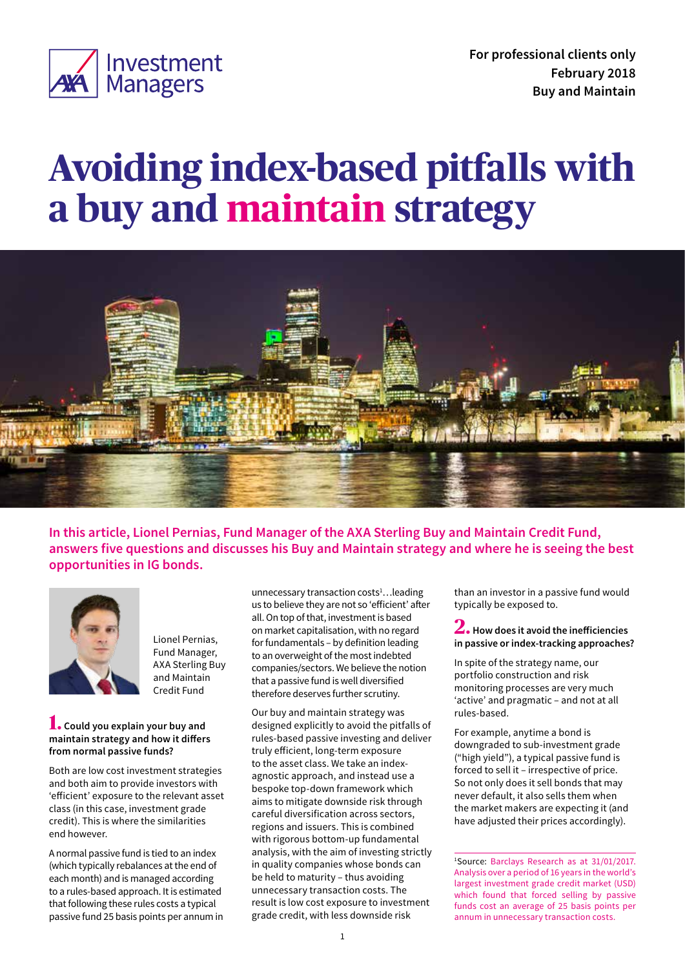

# **Avoiding index-based pitfalls with a buy and maintain strategy**



**In this article, Lionel Pernias, Fund Manager of the AXA Sterling Buy and Maintain Credit Fund, answers five questions and discusses his Buy and Maintain strategy and where he is seeing the best opportunities in IG bonds.** 



Lionel Pernias, Fund Manager, AXA Sterling Buy and Maintain Credit Fund

#### **1. Could you explain your buy and maintain strategy and how it differs from normal passive funds?**

Both are low cost investment strategies and both aim to provide investors with 'efficient' exposure to the relevant asset class (in this case, investment grade credit). This is where the similarities end however.

A normal passive fund is tied to an index (which typically rebalances at the end of each month) and is managed according to a rules-based approach. It is estimated that following these rules costs a typical passive fund 25 basis points per annum in

unnecessary transaction costs<sup>1</sup>...leading us to believe they are not so 'efficient' after all. On top of that, investment is based on market capitalisation, with no regard for fundamentals – by definition leading to an overweight of the most indebted companies/sectors. We believe the notion that a passive fund is well diversified therefore deserves further scrutiny.

Our buy and maintain strategy was designed explicitly to avoid the pitfalls of rules-based passive investing and deliver truly efficient, long-term exposure to the asset class. We take an indexagnostic approach, and instead use a bespoke top-down framework which aims to mitigate downside risk through careful diversification across sectors, regions and issuers. This is combined with rigorous bottom-up fundamental analysis, with the aim of investing strictly in quality companies whose bonds can be held to maturity – thus avoiding unnecessary transaction costs. The result is low cost exposure to investment grade credit, with less downside risk

than an investor in a passive fund would typically be exposed to.

**2. How does it avoid the inefficiencies in passive or index-tracking approaches?** 

In spite of the strategy name, our portfolio construction and risk monitoring processes are very much 'active' and pragmatic – and not at all rules-based.

For example, anytime a bond is downgraded to sub-investment grade ("high yield"), a typical passive fund is forced to sell it – irrespective of price. So not only does it sell bonds that may never default, it also sells them when the market makers are expecting it (and have adjusted their prices accordingly).

1 Source: Barclays Research as at 31/01/2017. Analysis over a period of 16 years in the world's largest investment grade credit market (USD) which found that forced selling by passive funds cost an average of 25 basis points per annum in unnecessary transaction costs.